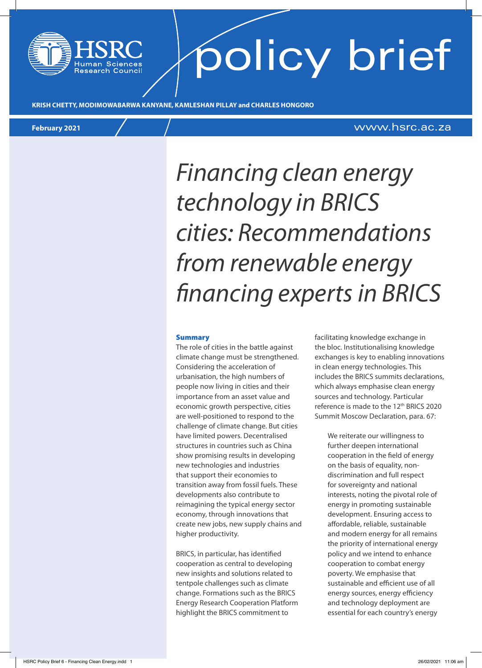# policy brief

**KRISH CHETTY, MODIMOWABARWA KANYANE, KAMLESHAN PILLAY and CHARLES HONGORO**

### **February 2021** www.hsrc.ac.za

### *Financing clean energy technology in BRICS cities: Recommendations from renewable energy financing experts in BRICS*

#### Summary

The role of cities in the battle against climate change must be strengthened. Considering the acceleration of urbanisation, the high numbers of people now living in cities and their importance from an asset value and economic growth perspective, cities are well-positioned to respond to the challenge of climate change. But cities have limited powers. Decentralised structures in countries such as China show promising results in developing new technologies and industries that support their economies to transition away from fossil fuels. These developments also contribute to reimagining the typical energy sector economy, through innovations that create new jobs, new supply chains and higher productivity.

BRICS, in particular, has identified cooperation as central to developing new insights and solutions related to tentpole challenges such as climate change. Formations such as the BRICS Energy Research Cooperation Platform highlight the BRICS commitment to

facilitating knowledge exchange in the bloc. Institutionalising knowledge exchanges is key to enabling innovations in clean energy technologies. This includes the BRICS summits declarations, which always emphasise clean energy sources and technology. Particular reference is made to the 12<sup>th</sup> BRICS 2020 Summit Moscow Declaration, para. 67:

> We reiterate our willingness to further deepen international cooperation in the field of energy on the basis of equality, nondiscrimination and full respect for sovereignty and national interests, noting the pivotal role of energy in promoting sustainable development. Ensuring access to affordable, reliable, sustainable and modern energy for all remains the priority of international energy policy and we intend to enhance cooperation to combat energy poverty. We emphasise that sustainable and efficient use of all energy sources, energy efficiency and technology deployment are essential for each country's energy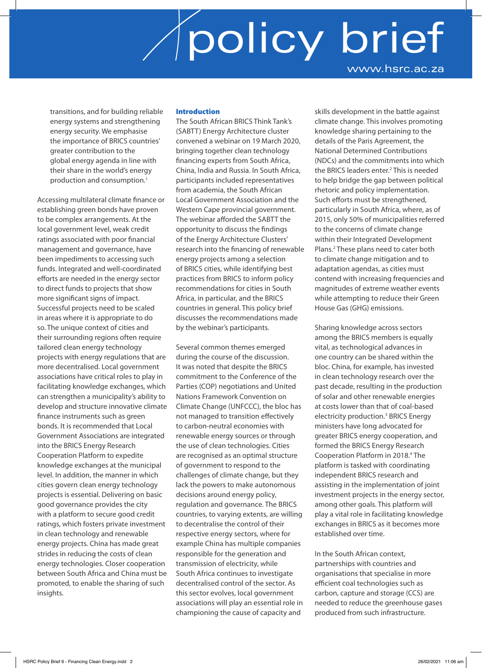transitions, and for building reliable energy systems and strengthening energy security. We emphasise the importance of BRICS countries' greater contribution to the global energy agenda in line with their share in the world's energy production and consumption.<sup>1</sup>

Accessing multilateral climate finance or establishing green bonds have proven to be complex arrangements. At the local government level, weak credit ratings associated with poor financial management and governance, have been impediments to accessing such funds. Integrated and well-coordinated efforts are needed in the energy sector to direct funds to projects that show more significant signs of impact. Successful projects need to be scaled in areas where it is appropriate to do so. The unique context of cities and their surrounding regions often require tailored clean energy technology projects with energy regulations that are more decentralised. Local government associations have critical roles to play in facilitating knowledge exchanges, which can strengthen a municipality's ability to develop and structure innovative climate finance instruments such as green bonds. It is recommended that Local Government Associations are integrated into the BRICS Energy Research Cooperation Platform to expedite knowledge exchanges at the municipal level. In addition, the manner in which cities govern clean energy technology projects is essential. Delivering on basic good governance provides the city with a platform to secure good credit ratings, which fosters private investment in clean technology and renewable energy projects. China has made great strides in reducing the costs of clean energy technologies. Closer cooperation between South Africa and China must be promoted, to enable the sharing of such insights.

### Introduction

The South African BRICS Think Tank's (SABTT) Energy Architecture cluster convened a webinar on 19 March 2020, bringing together clean technology financing experts from South Africa, China, India and Russia. In South Africa, participants included representatives from academia, the South African Local Government Association and the Western Cape provincial government. The webinar afforded the SABTT the opportunity to discuss the findings of the Energy Architecture Clusters' research into the financing of renewable energy projects among a selection of BRICS cities, while identifying best practices from BRICS to inform policy recommendations for cities in South Africa, in particular, and the BRICS countries in general. This policy brief discusses the recommendations made by the webinar's participants.

Several common themes emerged during the course of the discussion. It was noted that despite the BRICS commitment to the Conference of the Parties (COP) negotiations and United Nations Framework Convention on Climate Change (UNFCCC), the bloc has not managed to transition effectively to carbon-neutral economies with renewable energy sources or through the use of clean technologies. Cities are recognised as an optimal structure of government to respond to the challenges of climate change, but they lack the powers to make autonomous decisions around energy policy, regulation and governance. The BRICS countries, to varying extents, are willing to decentralise the control of their respective energy sectors, where for example China has multiple companies responsible for the generation and transmission of electricity, while South Africa continues to investigate decentralised control of the sector. As this sector evolves, local government associations will play an essential role in championing the cause of capacity and

skills development in the battle against climate change. This involves promoting knowledge sharing pertaining to the details of the Paris Agreement, the National Determined Contributions (NDCs) and the commitments into which the BRICS leaders enter.<sup>2</sup> This is needed to help bridge the gap between political rhetoric and policy implementation. Such efforts must be strengthened, particularly in South Africa, where, as of 2015, only 50% of municipalities referred to the concerns of climate change within their Integrated Development Plans.2 These plans need to cater both to climate change mitigation and to adaptation agendas, as cities must contend with increasing frequencies and magnitudes of extreme weather events while attempting to reduce their Green House Gas (GHG) emissions.

Sharing knowledge across sectors among the BRICS members is equally vital, as technological advances in one country can be shared within the bloc. China, for example, has invested in clean technology research over the past decade, resulting in the production of solar and other renewable energies at costs lower than that of coal-based electricity production.<sup>3</sup> BRICS Energy ministers have long advocated for greater BRICS energy cooperation, and formed the BRICS Energy Research Cooperation Platform in 2018.4 The platform is tasked with coordinating independent BRICS research and assisting in the implementation of joint investment projects in the energy sector, among other goals. This platform will play a vital role in facilitating knowledge exchanges in BRICS as it becomes more established over time.

In the South African context, partnerships with countries and organisations that specialise in more efficient coal technologies such as carbon, capture and storage (CCS) are needed to reduce the greenhouse gases produced from such infrastructure.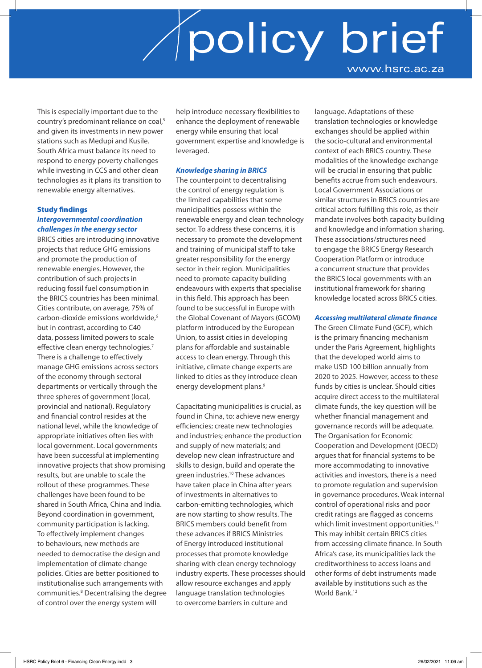This is especially important due to the country's predominant reliance on coal,<sup>5</sup> and given its investments in new power stations such as Medupi and Kusile. South Africa must balance its need to respond to energy poverty challenges while investing in CCS and other clean technologies as it plans its transition to renewable energy alternatives.

### Study findings *Intergovernmental coordination challenges in the energy sector*

BRICS cities are introducing innovative projects that reduce GHG emissions and promote the production of renewable energies. However, the contribution of such projects in reducing fossil fuel consumption in the BRICS countries has been minimal. Cities contribute, on average, 75% of carbon-dioxide emissions worldwide,<sup>6</sup> but in contrast, according to C40 data, possess limited powers to scale effective clean energy technologies.<sup>7</sup> There is a challenge to effectively manage GHG emissions across sectors of the economy through sectoral departments or vertically through the three spheres of government (local, provincial and national). Regulatory and financial control resides at the national level, while the knowledge of appropriate initiatives often lies with local government. Local governments have been successful at implementing innovative projects that show promising results, but are unable to scale the rollout of these programmes. These challenges have been found to be shared in South Africa, China and India. Beyond coordination in government, community participation is lacking. To effectively implement changes to behaviours, new methods are needed to democratise the design and implementation of climate change policies. Cities are better positioned to institutionalise such arrangements with communities.<sup>8</sup> Decentralising the degree of control over the energy system will

help introduce necessary flexibilities to enhance the deployment of renewable energy while ensuring that local government expertise and knowledge is leveraged.

### *Knowledge sharing in BRICS*

The counterpoint to decentralising the control of energy regulation is the limited capabilities that some municipalities possess within the renewable energy and clean technology sector. To address these concerns, it is necessary to promote the development and training of municipal staff to take greater responsibility for the energy sector in their region. Municipalities need to promote capacity building endeavours with experts that specialise in this field. This approach has been found to be successful in Europe with the Global Covenant of Mayors (GCOM) platform introduced by the European Union, to assist cities in developing plans for affordable and sustainable access to clean energy. Through this initiative, climate change experts are linked to cities as they introduce clean energy development plans.<sup>9</sup>

Capacitating municipalities is crucial, as found in China, to: achieve new energy efficiencies; create new technologies and industries; enhance the production and supply of new materials; and develop new clean infrastructure and skills to design, build and operate the green industries.10 These advances have taken place in China after years of investments in alternatives to carbon-emitting technologies, which are now starting to show results. The BRICS members could benefit from these advances if BRICS Ministries of Energy introduced institutional processes that promote knowledge sharing with clean energy technology industry experts. These processes should allow resource exchanges and apply language translation technologies to overcome barriers in culture and

language. Adaptations of these translation technologies or knowledge exchanges should be applied within the socio-cultural and environmental context of each BRICS country. These modalities of the knowledge exchange will be crucial in ensuring that public benefits accrue from such endeavours. Local Government Associations or similar structures in BRICS countries are critical actors fulfilling this role, as their mandate involves both capacity building and knowledge and information sharing. These associations/structures need to engage the BRICS Energy Research Cooperation Platform or introduce a concurrent structure that provides the BRICS local governments with an institutional framework for sharing knowledge located across BRICS cities.

### *Accessing multilateral climate finance*

The Green Climate Fund (GCF), which is the primary financing mechanism under the Paris Agreement, highlights that the developed world aims to make USD 100 billion annually from 2020 to 2025. However, access to these funds by cities is unclear. Should cities acquire direct access to the multilateral climate funds, the key question will be whether financial management and governance records will be adequate. The Organisation for Economic Cooperation and Development (OECD) argues that for financial systems to be more accommodating to innovative activities and investors, there is a need to promote regulation and supervision in governance procedures. Weak internal control of operational risks and poor credit ratings are flagged as concerns which limit investment opportunities.<sup>11</sup> This may inhibit certain BRICS cities from accessing climate finance. In South Africa's case, its municipalities lack the creditworthiness to access loans and other forms of debt instruments made available by institutions such as the World Bank.<sup>12</sup>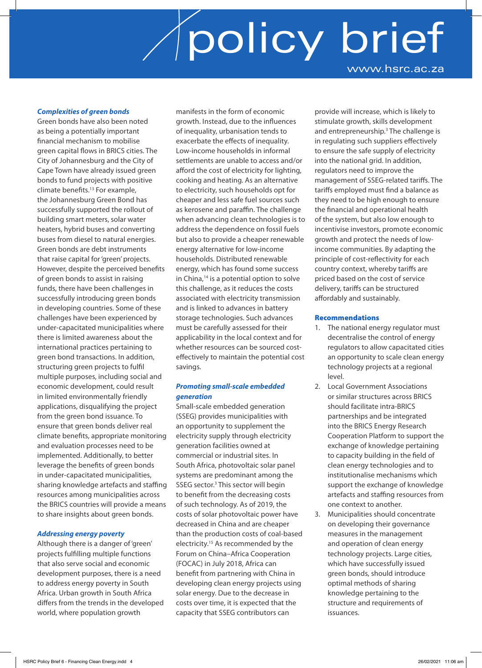### *Complexities of green bonds*

Green bonds have also been noted as being a potentially important financial mechanism to mobilise green capital flows in BRICS cities. The City of Johannesburg and the City of Cape Town have already issued green bonds to fund projects with positive climate benefits.13 For example, the Johannesburg Green Bond has successfully supported the rollout of building smart meters, solar water heaters, hybrid buses and converting buses from diesel to natural energies. Green bonds are debt instruments that raise capital for 'green' projects. However, despite the perceived benefits of green bonds to assist in raising funds, there have been challenges in successfully introducing green bonds in developing countries. Some of these challenges have been experienced by under-capacitated municipalities where there is limited awareness about the international practices pertaining to green bond transactions. In addition, structuring green projects to fulfil multiple purposes, including social and economic development, could result in limited environmentally friendly applications, disqualifying the project from the green bond issuance. To ensure that green bonds deliver real climate benefits, appropriate monitoring and evaluation processes need to be implemented. Additionally, to better leverage the benefits of green bonds in under-capacitated municipalities, sharing knowledge artefacts and staffing resources among municipalities across the BRICS countries will provide a means to share insights about green bonds.

#### *Addressing energy poverty*

Although there is a danger of 'green' projects fulfilling multiple functions that also serve social and economic development purposes, there is a need to address energy poverty in South Africa. Urban growth in South Africa differs from the trends in the developed world, where population growth

manifests in the form of economic growth. Instead, due to the influences of inequality, urbanisation tends to exacerbate the effects of inequality. Low-income households in informal settlements are unable to access and/or afford the cost of electricity for lighting, cooking and heating. As an alternative to electricity, such households opt for cheaper and less safe fuel sources such as kerosene and paraffin. The challenge when advancing clean technologies is to address the dependence on fossil fuels but also to provide a cheaper renewable energy alternative for low-income households. Distributed renewable energy, which has found some success in China,<sup>14</sup> is a potential option to solve this challenge, as it reduces the costs associated with electricity transmission and is linked to advances in battery storage technologies. Such advances must be carefully assessed for their applicability in the local context and for whether resources can be sourced costeffectively to maintain the potential cost savings.

### *Promoting small-scale embedded generation*

Small-scale embedded generation (SSEG) provides municipalities with an opportunity to supplement the electricity supply through electricity generation facilities owned at commercial or industrial sites. In South Africa, photovoltaic solar panel systems are predominant among the SSEG sector.<sup>3</sup> This sector will begin to benefit from the decreasing costs of such technology. As of 2019, the costs of solar photovoltaic power have decreased in China and are cheaper than the production costs of coal-based electricity.15 As recommended by the Forum on China–Africa Cooperation (FOCAC) in July 2018, Africa can benefit from partnering with China in developing clean energy projects using solar energy. Due to the decrease in costs over time, it is expected that the capacity that SSEG contributors can

provide will increase, which is likely to stimulate growth, skills development and entrepreneurship.<sup>3</sup> The challenge is in regulating such suppliers effectively to ensure the safe supply of electricity into the national grid. In addition, regulators need to improve the management of SSEG-related tariffs. The tariffs employed must find a balance as they need to be high enough to ensure the financial and operational health of the system, but also low enough to incentivise investors, promote economic growth and protect the needs of lowincome communities. By adapting the principle of cost-reflectivity for each country context, whereby tariffs are priced based on the cost of service delivery, tariffs can be structured affordably and sustainably.

#### Recommendations

- 1. The national energy regulator must decentralise the control of energy regulators to allow capacitated cities an opportunity to scale clean energy technology projects at a regional level.
- 2. Local Government Associations or similar structures across BRICS should facilitate intra-BRICS partnerships and be integrated into the BRICS Energy Research Cooperation Platform to support the exchange of knowledge pertaining to capacity building in the field of clean energy technologies and to institutionalise mechanisms which support the exchange of knowledge artefacts and staffing resources from one context to another.
- 3. Municipalities should concentrate on developing their governance measures in the management and operation of clean energy technology projects. Large cities, which have successfully issued green bonds, should introduce optimal methods of sharing knowledge pertaining to the structure and requirements of issuances.